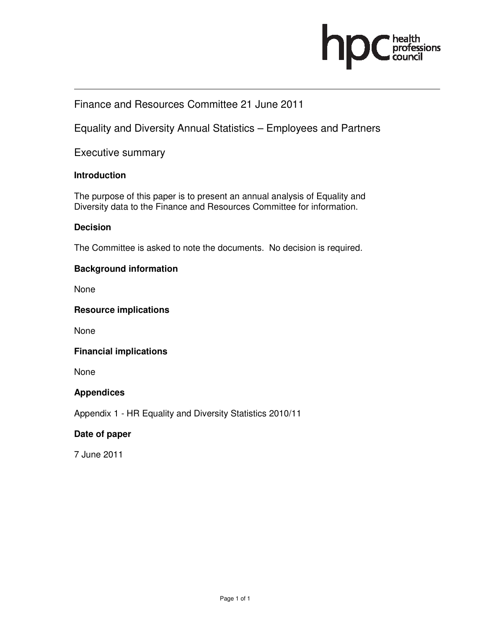

# Finance and Resources Committee 21 June 2011

Equality and Diversity Annual Statistics – Employees and Partners

Executive summary

### **Introduction**

The purpose of this paper is to present an annual analysis of Equality and Diversity data to the Finance and Resources Committee for information.

### **Decision**

The Committee is asked to note the documents. No decision is required.

### **Background information**

None

### **Resource implications**

None

#### **Financial implications**

None

### **Appendices**

Appendix 1 - HR Equality and Diversity Statistics 2010/11

#### **Date of paper**

7 June 2011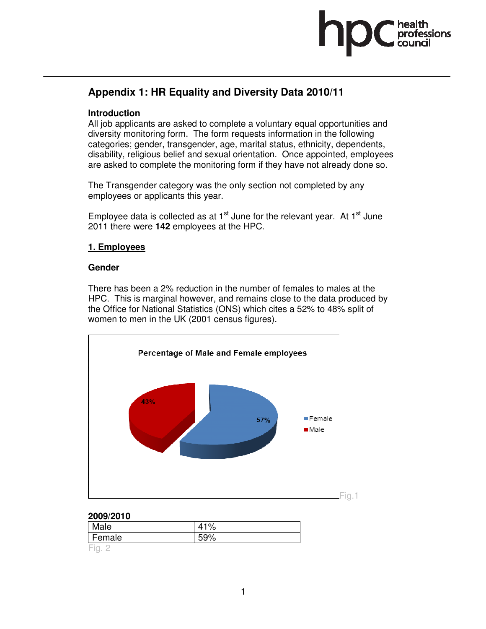

# **Appendix 1: HR Equality and Diversity Data 2010/11**

# **Introduction**

All job applicants are asked to complete a voluntary equal opportunities and diversity monitoring form. The form requests information in the following categories; gender, transgender, age, marital status, ethnicity, dependents, disability, religious belief and sexual orientation. Once appointed, employees are asked to complete the monitoring form if they have not already done so.

The Transgender category was the only section not completed by any employees or applicants this year.

Employee data is collected as at  $1<sup>st</sup>$  June for the relevant year. At  $1<sup>st</sup>$  June 2011 there were **142** employees at the HPC.

# **1. Employees**

### **Gender**

There has been a 2% reduction in the number of females to males at the HPC. This is marginal however, and remains close to the data produced by the Office for National Statistics (ONS) which cites a 52% to 48% split of women to men in the UK (2001 census figures).



### **2009/2010**

| Male   | 41% |
|--------|-----|
| Female | 59% |
| Fia    |     |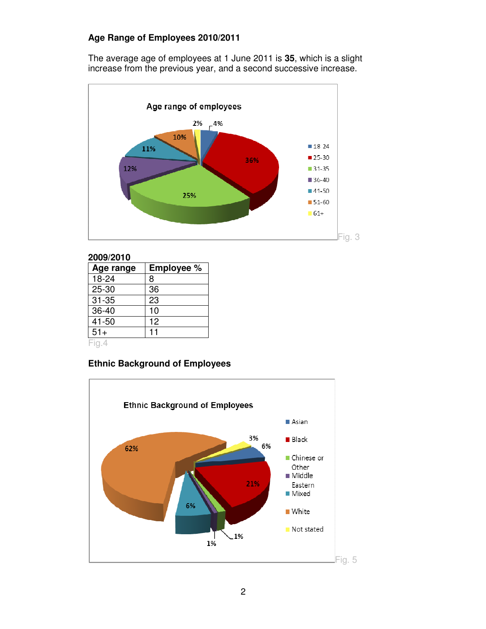# **Age Range of Employees 2010/2011**

The average age of employees at 1 June 2011 is **35**, which is a slight increase from the previous year, and a second successive increase.



#### **2009/2010**

| Age range | <b>Employee %</b> |
|-----------|-------------------|
| 18-24     | 8                 |
| 25-30     | 36                |
| $31 - 35$ | 23                |
| 36-40     | 10                |
| 41-50     | 12                |
| $51+$     |                   |
| Fig.4     |                   |

### **Ethnic Background of Employees**

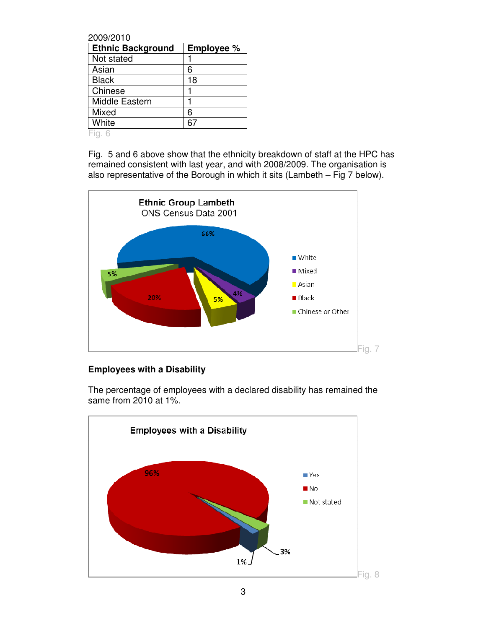| 2009/2010                |                   |
|--------------------------|-------------------|
| <b>Ethnic Background</b> | <b>Employee %</b> |
| Not stated               |                   |
| Asian                    | 6                 |
| <b>Black</b>             | 18                |
| Chinese                  |                   |
| Middle Eastern           |                   |
| Mixed                    | 6                 |
| White                    |                   |

Fig. 6

Fig. 5 and 6 above show that the ethnicity breakdown of staff at the HPC has remained consistent with last year, and with 2008/2009. The organisation is also representative of the Borough in which it sits (Lambeth – Fig 7 below).



# **Employees with a Disability**

The percentage of employees with a declared disability has remained the same from 2010 at 1%.

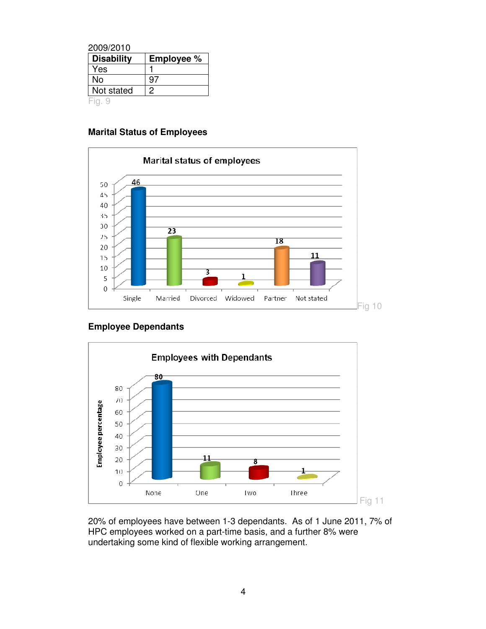| 2009/2010         |                   |
|-------------------|-------------------|
| <b>Disability</b> | <b>Employee %</b> |
| Yes               |                   |
| No                | 97                |
| Not stated        | 2                 |
|                   |                   |

# **Marital Status of Employees**



# **Employee Dependants**



20% of employees have between 1-3 dependants. As of 1 June 2011, 7% of HPC employees worked on a part-time basis, and a further 8% were undertaking some kind of flexible working arrangement.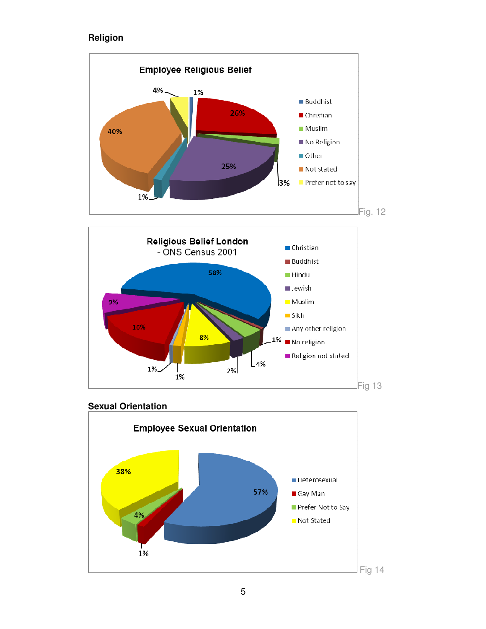# **Religion**



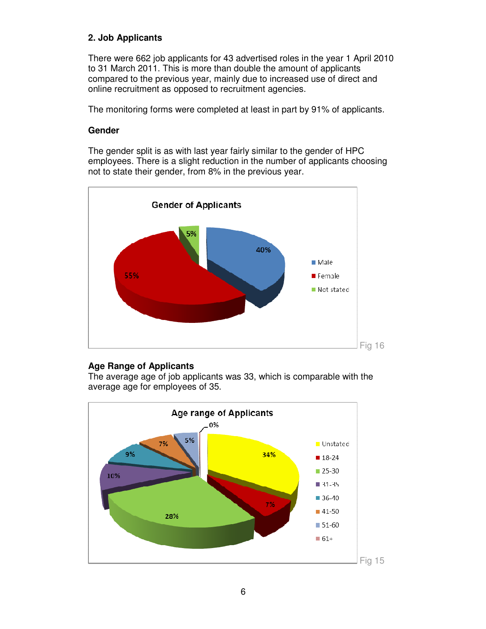# **2. Job Applicants**

There were 662 job applicants for 43 advertised roles in the year 1 April 2010 to 31 March 2011. This is more than double the amount of applicants compared to the previous year, mainly due to increased use of direct and online recruitment as opposed to recruitment agencies.

The monitoring forms were completed at least in part by 91% of applicants.

### **Gender**

The gender split is as with last year fairly similar to the gender of HPC employees. There is a slight reduction in the number of applicants choosing not to state their gender, from 8% in the previous year.



### **Age Range of Applicants**

The average age of job applicants was 33, which is comparable with the average age for employees of 35.

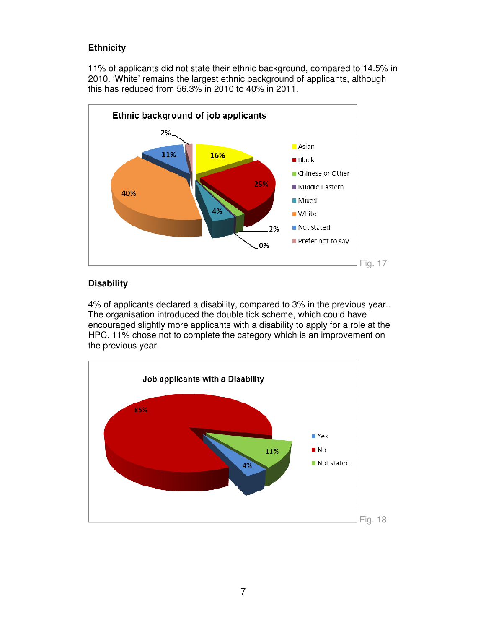# **Ethnicity**

11% of applicants did not state their ethnic background, compared to 14.5% in 2010. 'White' remains the largest ethnic background of applicants, although this has reduced from 56.3% in 2010 to 40% in 2011.



# **Disability**

4% of applicants declared a disability, compared to 3% in the previous year.. The organisation introduced the double tick scheme, which could have encouraged slightly more applicants with a disability to apply for a role at the HPC. 11% chose not to complete the category which is an improvement on the previous year.

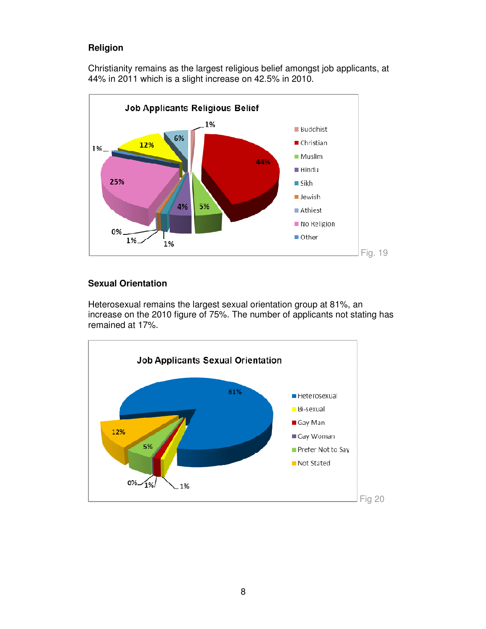# **Religion**

Christianity remains as the largest religious belief amongst job applicants, at 44% in 2011 which is a slight increase on 42.5% in 2010.



# **Sexual Orientation**

Heterosexual remains the largest sexual orientation group at 81%, an increase on the 2010 figure of 75%. The number of applicants not stating has remained at 17%.

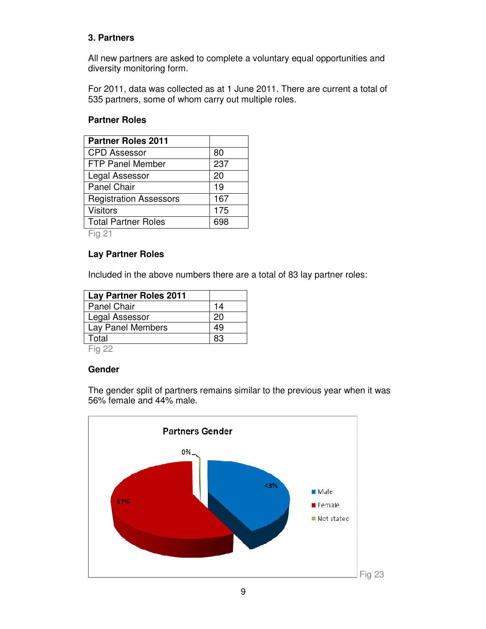# **3. Partners**

All new partners are asked to complete a voluntary equal opportunities and diversity monitoring form.

For 2011, data was collected as at 1 June 2011. There are current a total of 535 partners, some of whom carry out multiple roles.

### **Partner Roles**

| <b>Partner Roles 2011</b>     |     |
|-------------------------------|-----|
| <b>CPD Assessor</b>           | 80  |
| <b>FTP Panel Member</b>       | 237 |
| Legal Assessor                | 20  |
| <b>Panel Chair</b>            | 19  |
| <b>Registration Assessors</b> | 167 |
| <b>Visitors</b>               | 175 |
| <b>Total Partner Roles</b>    | 698 |
| <b>ELL</b> 04                 |     |

Fig 21

### **Lay Partner Roles**

Included in the above numbers there are a total of 83 lay partner roles:

| <b>Lay Partner Roles 2011</b> |    |
|-------------------------------|----|
| Panel Chair                   | 14 |
| Legal Assessor                | 20 |
| Lay Panel Members             | 49 |
| Total                         | 83 |
| $-1$ $\sim$                   |    |

Fig 22

### **Gender**

**Partners Gender** 0% 43% **Male** 57% Female Not stated Fig 23

The gender split of partners remains similar to the previous year when it was 56% female and 44% male.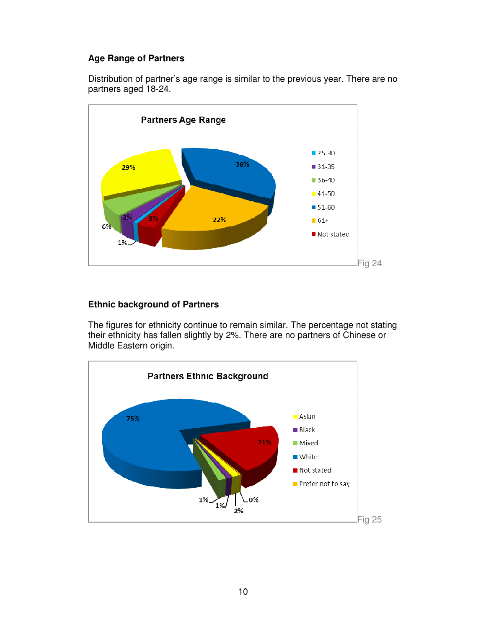# **Age Range of Partners**

Distribution of partner's age range is similar to the previous year. There are no partners aged 18-24.



# **Ethnic background of Partners**

The figures for ethnicity continue to remain similar. The percentage not stating their ethnicity has fallen slightly by 2%. There are no partners of Chinese or Middle Eastern origin.